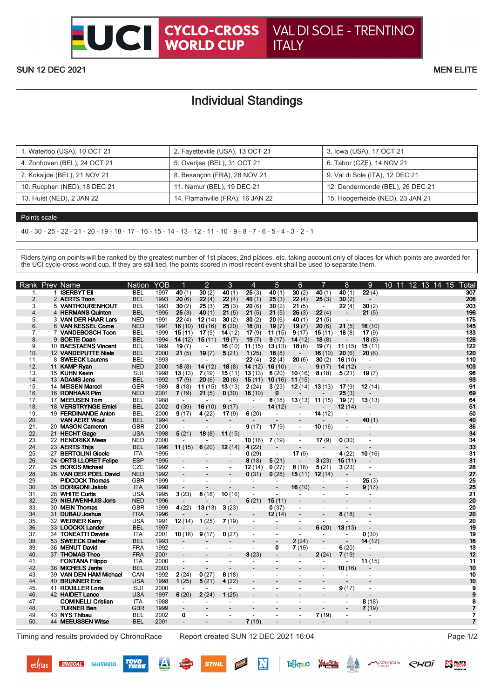## Individual Standings

| 1. Waterloo (USA), 10 OCT 21 | 2. Fayetteville (USA), 13 OCT 21 | 3. Iowa (USA), 17 OCT 21         |
|------------------------------|----------------------------------|----------------------------------|
| 4. Zonhoven (BEL), 24 OCT 21 | 5. Overijse (BEL), 31 OCT 21     | 6. Tabor (CZE), 14 NOV 21        |
| 7. Koksijde (BEL), 21 NOV 21 | 8. Besancon (FRA), 28 NOV 21     | 9. Val di Sole (ITA), 12 DEC 21  |
| 10. Rucphen (NED), 18 DEC 21 | 11. Namur (BEL), 19 DEC 21       | 12. Dendermonde (BEL), 26 DEC 21 |
| 13. Hulst (NED), 2 JAN 22    | 14. Flamanville (FRA), 16 JAN 22 | 15. Hoogerheide (NED), 23 JAN 21 |

## Points scale

40 - 30 - 25 - 22 - 21 - 20 - 19 - 18 - 17 - 16 - 15 - 14 - 13 - 12 - 11 - 10 - 9 - 8 - 7 - 6 - 5 - 4 - 3 - 2 - 1

Riders tying on points will be ranked by the greatest number of 1st places, 2nd places, etc. taking account only of places for which points are awarded for the UCI cyclo-cross world cup. If they are still tied, the points scored in most recent event shall be used to separate them.

| Rank           |    | Prev Name                 | <b>Nation</b> | <b>YOB</b> |                          | $\overline{2}$           | 3                             | $\overline{4}$           | 5                        | 6                        | 7                        | 8                        | 9                        | 12 13 14 15<br>10 <sup>°</sup><br>11 | ⊺otal            |
|----------------|----|---------------------------|---------------|------------|--------------------------|--------------------------|-------------------------------|--------------------------|--------------------------|--------------------------|--------------------------|--------------------------|--------------------------|--------------------------------------|------------------|
| 1.             |    | 1 ISERBYT Eli             | <b>BEL</b>    | 1997       | 40(1)                    | 30(2)                    | 40(1)                         | 25(3)                    | 40(1)                    | 30(2)                    | 40(1)                    | 40(1)                    | 22(4)                    |                                      | $\overline{307}$ |
| 2.             |    | 2 AERTS Toon              | <b>BEL</b>    | 1993       | 20(6)                    | 22(4)                    | 22(4)                         | 40 $(1)$                 | 25(3)                    | 22(4)                    | 25(3)                    | 30(2)                    | $\overline{\phantom{a}}$ |                                      | 206              |
| 3.             |    | 5 VANTHOURENHOUT          | <b>BEL</b>    | 1993       | 30(2)                    | 25(3)                    | 25(3)                         | 20(6)                    | 30(2)                    | 21(5)                    | $\sim$                   | 22(4)                    | 30(2)                    |                                      | 203              |
| 4.             |    | 4 HERMANS Quinten         | <b>BEL</b>    | 1995       | 25(3)                    | 40 $(1)$                 | 21(5)                         | 21(5)                    | 21(5)                    | 25(3)                    | 22(4)                    | $\overline{\phantom{a}}$ | 21(5)                    |                                      | 196              |
| 5.             |    | 3 VAN DER HAAR Lars       | <b>NED</b>    | 1991       | 22(4)                    | 12(14)                   | 30(2)                         | 30(2)                    | 20(6)                    | 40(1)                    | 21(5)                    | $\blacksquare$           | $\overline{\phantom{a}}$ |                                      | 175              |
| 6.             |    | 6 VAN KESSEL Corne        | <b>NED</b>    | 1991       | 16(10)                   | 10(16)                   | 6(20)                         | 18(8)                    | 19(7)                    | 19(7)                    | 20(6)                    | 21(5)                    | 16(10)                   |                                      | 145              |
| 7 <sub>1</sub> |    | 7 VANDEBOSCH Toon         | <b>BEL</b>    | 1999       | 15(11)                   | 17(9)                    | 14(12)                        | 17(9)                    | 11(15)                   | 9(17)                    | 15(11)                   | 18(8)                    | 17(9)                    |                                      | 133              |
| 8.             |    | 9 SOETE Daan              | <b>BEL</b>    | 1994       | 14(12)                   | 15(11)                   | 19(7)                         | 19(7)                    | 9(17)                    | 14(12)                   | 18(8)                    | $\overline{a}$           | 18(8)                    |                                      | 126              |
| 9.             |    | 10 BAESTAENS Vincent      | <b>BEL</b>    | 1989       | 19(7)                    |                          | 16(10)                        | 11(15)                   | 13(13)                   | 18(8)                    | 19(7)                    | 11(15)                   | 15(11)                   |                                      | 122              |
| 10.            |    | 12 VANDEPUTTE Niels       | <b>BEL</b>    | 2000       | 21(5)                    | 19(7)                    | 5(21)                         | 1(25)                    | 18(8)                    | $\overline{\phantom{a}}$ | 16(10)                   | 20(6)                    | 20(6)                    |                                      | 120              |
| 11.            | 8  | <b>SWEECK Laurens</b>     | BEL           | 1993       | $\overline{\phantom{a}}$ | $\blacksquare$           | $\overline{\phantom{a}}$      | 22(4)                    | 22(4)                    | 20(6)                    | 30(2)                    | 16(10)                   | $\overline{\phantom{a}}$ |                                      | 110              |
| 12.            |    | 11 KAMP Ryan              | <b>NED</b>    | 2000       | 18(8)                    | 14(12)                   | 18(8)                         | 14(12)                   | 16(10)                   | $\overline{a}$           | 9(17)                    | 14(12)                   | $\overline{a}$           |                                      | 103              |
| 13.            |    | 15 KUHN Kevin             | SUI           | 1998       | 13(13)                   | 7(19)                    | 15(11)                        | 13(13)                   | 6(20)                    | 10(16)                   | 8(18)                    | 5(21)                    | 19(7)                    |                                      | 96               |
| 14.            |    | 13 ADAMS Jens             | <b>BEL</b>    | 1992       | 17(9)                    | 20(6)                    | 20(6)                         | 15(11)                   | 10(16)                   | 11(15)                   |                          |                          |                          |                                      | 93               |
| 15.            |    | 14 MEISEN Marcel          | <b>GER</b>    | 1989       | 8(18)                    |                          | <b>11</b> (15) <b>13</b> (13) | 2(24)                    | 3(23)                    | 12(14)                   | 13(13)                   | 17 $(9)$                 | 12(14)                   |                                      | 91               |
| 16.            |    | 16 RONHAAR Pim            | <b>NED</b>    | 2001       | 7(19)                    | 21(5)                    | 0(30)                         | 16(10)                   | $\bf{0}$                 |                          |                          | 25(3)                    |                          |                                      | 69               |
| 17.            |    | 17 MEEUSEN Tom            | <b>BEL</b>    | 1988       |                          |                          |                               |                          | 8(18)                    | 13(13)                   | 11(15)                   | 19(7)                    | 13(13)                   |                                      | 64               |
| 18.            |    | 18 VERSTRYNGE Emiel       | <b>BEL</b>    | 2002       | 0(39)                    | 16(10)                   | 9(17)                         |                          | 14(12)                   |                          |                          | 12(14)                   |                          |                                      | 51               |
| 19.            |    | 19 FERDINANDE Anton       | <b>BEL</b>    | 2000       | 9(17)                    | 4(22)                    | 17(9)                         | 6(20)                    | $\blacksquare$           | $\blacksquare$           | 14(12)                   | $\overline{\phantom{a}}$ | $\overline{\phantom{a}}$ |                                      | 50               |
| 20.            |    | <b>VAN AERT Wout</b>      | <b>BEL</b>    | 1994       | $\overline{\phantom{a}}$ |                          |                               | $\overline{\phantom{0}}$ |                          |                          |                          |                          | 40(1)                    |                                      | 40               |
| 21.            |    | 20 MASON Cameron          | <b>GBR</b>    | 2000       | $\blacksquare$           |                          |                               | 9(17)                    | 17(9)                    | $\overline{\phantom{a}}$ | 10(16)                   | $\blacksquare$           | $\blacksquare$           |                                      | 36               |
| 22.            |    | 21 HECHT Gage             | <b>USA</b>    | 1998       | 5(21)                    | 18(8)                    | 11(15)                        |                          | $\overline{a}$           | $\overline{\phantom{a}}$ |                          | $\overline{a}$           |                          |                                      | 34               |
| 23.            |    | 22 HENDRIKX Mees          | <b>NED</b>    | 2000       | $\blacksquare$           | $\blacksquare$           |                               | 10(16)                   | 7(19)                    | $\overline{\phantom{a}}$ | 17(9)                    | 0(30)                    | $\overline{\phantom{a}}$ |                                      | 34               |
| 24.            |    | 23 AERTS Thijs            | <b>BEL</b>    | 1996       | 11(15)                   | 6(20)                    | 12(14)                        | 4(22)                    |                          |                          |                          |                          |                          |                                      | 33               |
| 25.            |    | 27 BERTOLINI Gioele       | <b>ITA</b>    | 1995       |                          | $\blacksquare$           |                               | 0(29)                    | $\blacksquare$           | 17(9)                    | $\sim$                   | 4(22)                    | 10(16)                   |                                      | 31               |
| 26.            |    | 24 ORTS LLORET Felipe     | <b>ESP</b>    | 1995       | $\overline{a}$           |                          |                               | 8(18)                    | 5(21)                    | $\overline{\phantom{a}}$ | 3(23)                    | 15(11)                   |                          |                                      | 31               |
| 27.            |    | 25 BOROS Michael          | <b>CZE</b>    | 1992       | $\blacksquare$           | $\blacksquare$           | $\blacksquare$                | 12(14)                   | 0(27)                    | 8(18)                    | 5(21)                    | 3(23)                    | $\overline{a}$           |                                      | 28               |
| 28.            |    | 26 VAN DER POEL David     | <b>NED</b>    | 1992       | $\overline{a}$           |                          |                               | 0(31)                    | 0(28)                    | 15(11)                   | 12(14)                   |                          |                          |                                      | 27               |
| 29.            |    | <b>PIDCOCK Thomas</b>     | <b>GBR</b>    | 1999       | $\blacksquare$           | $\overline{\phantom{a}}$ | $\blacksquare$                | $\overline{\phantom{a}}$ | $\blacksquare$           | $\overline{\phantom{a}}$ |                          | $\blacksquare$           | 25(3)                    |                                      | 25               |
| 30.            |    | 35 DORIGONI Jakob         | <b>ITA</b>    | 1998       | $\overline{\phantom{a}}$ |                          |                               |                          | $\overline{\phantom{a}}$ | 16(10)                   |                          | $\overline{\phantom{a}}$ | 9(17)                    |                                      | 25               |
| 31.            |    | 28 WHITE Curtis           | <b>USA</b>    | 1995       | 3(23)                    | 8(18)                    | 10(16)                        | $\overline{a}$           | $\overline{a}$           | $\overline{\phantom{a}}$ |                          | $\sim$                   | $\overline{\phantom{a}}$ |                                      | 21               |
| 32.            |    | 29 NIEUWENHUIS Joris      | <b>NED</b>    | 1996       |                          |                          |                               | 5(21)                    | 15(11)                   | $\overline{\phantom{a}}$ |                          |                          |                          |                                      | 20               |
| 33.            |    | 30 MEIN Thomas            | <b>GBR</b>    | 1999       | 4(22)                    | 13(13)                   | 3(23)                         | $\overline{\phantom{a}}$ | 0(37)                    | $\overline{\phantom{a}}$ | $\blacksquare$           | $\overline{\phantom{a}}$ | $\blacksquare$           |                                      | 20               |
| 34.            |    | 31 DUBAU Joshua           | <b>FRA</b>    | 1996       |                          |                          |                               | $\overline{\phantom{0}}$ | 12(14)                   |                          |                          | 8(18)                    | L.                       |                                      | 20               |
| 35.            |    | 32 WERNER Kerry           | <b>USA</b>    | 1991       | 12(14)                   | 1(25)                    | 7(19)                         | $\overline{\phantom{a}}$ |                          | $\blacksquare$           |                          |                          |                          |                                      | 20               |
| 36.            |    | 33 LOOCKX Lander          | <b>BEL</b>    | 1997       |                          |                          |                               |                          |                          |                          | 6(20)                    | 13(13)                   |                          |                                      | 19               |
| 37.            |    | 34 TONEATTI Davide        | ITA           | 2001       | 10(16)                   | 9(17)                    | 0(27)                         | $\overline{\phantom{a}}$ | $\blacksquare$           | $\overline{a}$           |                          |                          | 0(30)                    |                                      | 19               |
| 38.            |    | 53 SWEECK Diether         | <b>BEL</b>    | 1993       |                          |                          |                               |                          | $\overline{a}$           | 2(24)                    |                          |                          | 14(12)                   |                                      | 16               |
| 39.            |    | 36 MENUT David            | <b>FRA</b>    | 1992       | $\overline{\phantom{a}}$ | $\blacksquare$           | $\sim$                        | ÷,                       | 0                        | 7(19)                    | $\blacksquare$           | 6(20)                    | $\overline{\phantom{a}}$ |                                      | 13               |
| 40.            |    | 37 THOMAS Theo            | <b>FRA</b>    | 2001       | $\overline{a}$           |                          | $\overline{\phantom{a}}$      | 3(23)                    | $\overline{\phantom{a}}$ | $\overline{\phantom{a}}$ | 2(24)                    | 7(19)                    |                          |                                      | 12               |
| 41.            |    | <b>FONTANA Filippo</b>    | <b>ITA</b>    | 2000       | $\overline{\phantom{a}}$ | $\blacksquare$           | $\blacksquare$                | $\overline{a}$           | $\blacksquare$           | $\overline{\phantom{a}}$ | $\blacksquare$           | $\blacksquare$           | 11 (15)                  |                                      | 11               |
| 42.            |    | 38 MICHELS Jente          | <b>BEL</b>    | 2003       | $\blacksquare$           |                          |                               | $\overline{a}$           |                          |                          |                          | 10(16)                   |                          |                                      | 10               |
| 43.            |    | 39 VAN DEN HAM Michael    | CAN           | 1992       | 2(24)                    | 0(27)                    | 8(18)                         | $\overline{\phantom{a}}$ | $\blacksquare$           | $\blacksquare$           | $\overline{\phantom{a}}$ |                          | $\overline{\phantom{a}}$ |                                      | 10               |
| 44.            | 40 | <b>BRUNNER Eric</b>       | <b>USA</b>    | 1998       | 1(25)                    | 5(21)                    | 4(22)                         | $\overline{a}$           |                          |                          |                          | $\blacksquare$           |                          |                                      | 10               |
| 45.            |    | 41 ROUILLER Loris         | SUI           | 2000       | $\overline{\phantom{a}}$ |                          | $\blacksquare$                | $\blacksquare$           |                          | $\blacksquare$           |                          | 9(17)                    |                          |                                      | 9                |
| 46.            |    | 42 HAIDET Lance           | <b>USA</b>    | 1997       | 6(20)                    | 2(24)                    | 1(25)                         |                          |                          |                          |                          |                          |                          |                                      | 9                |
| 47.            |    | <b>COMINELLI Cristian</b> | <b>ITA</b>    | 1988       | $\blacksquare$           | $\overline{\phantom{a}}$ | $\overline{\phantom{a}}$      | $\overline{\phantom{a}}$ | $\blacksquare$           | $\sim$                   | $\overline{a}$           | $\overline{\phantom{a}}$ | 8(18)                    |                                      | 8                |
| 48.            |    | <b>TURNER Ben</b>         | <b>GBR</b>    | 1999       | $\overline{\phantom{a}}$ |                          | $\overline{\phantom{a}}$      |                          | $\overline{\phantom{a}}$ | $\overline{\phantom{a}}$ |                          | $\overline{\phantom{a}}$ | 7(19)                    |                                      | 7                |
| 49.            |    | 43 NYS Thibau             | <b>BEL</b>    | 2002       | 0                        | $\overline{\phantom{a}}$ | $\blacksquare$                | $\overline{a}$           | $\blacksquare$           | $\blacksquare$           | 7(19)                    | $\blacksquare$           | $\overline{\phantom{a}}$ |                                      | $\overline{7}$   |
| 50.            |    | 44 MEEUSSEN Witse         | BEL           | 2001       |                          |                          |                               | 7(19)                    |                          |                          |                          |                          |                          |                                      | $\overline{7}$   |
|                |    |                           |               |            |                          |                          |                               |                          |                          |                          |                          |                          |                          |                                      |                  |

Timing and results provided by ChronoRace Report created SUN 12 DEC 2021 16:04 Page 1/2

**M** WURTH

WERMIGLIO

 $\mathcal{L}$ 

RKOÏ